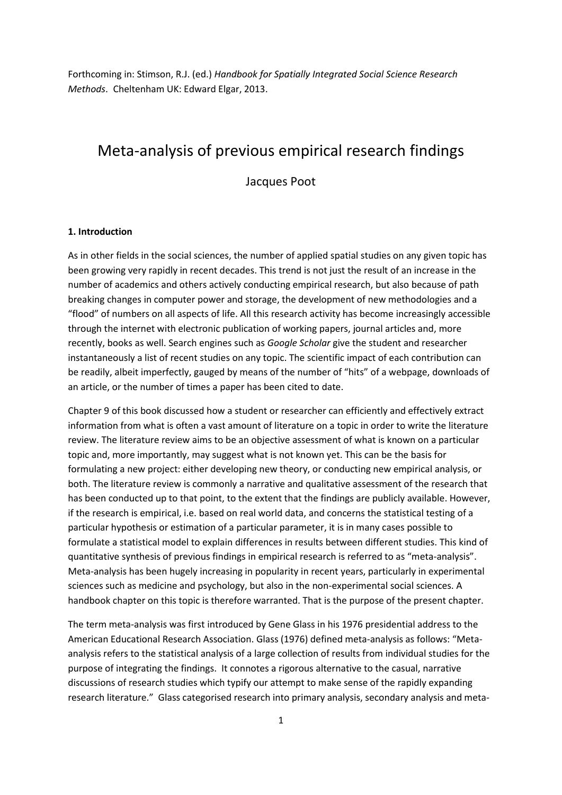Forthcoming in: Stimson, R.J. (ed.) *Handbook for Spatially Integrated Social Science Research Methods*. Cheltenham UK: Edward Elgar, 2013.

# Meta-analysis of previous empirical research findings

Jacques Poot

# **1. Introduction**

As in other fields in the social sciences, the number of applied spatial studies on any given topic has been growing very rapidly in recent decades. This trend is not just the result of an increase in the number of academics and others actively conducting empirical research, but also because of path breaking changes in computer power and storage, the development of new methodologies and a "flood" of numbers on all aspects of life. All this research activity has become increasingly accessible through the internet with electronic publication of working papers, journal articles and, more recently, books as well. Search engines such as *Google Scholar* give the student and researcher instantaneously a list of recent studies on any topic. The scientific impact of each contribution can be readily, albeit imperfectly, gauged by means of the number of "hits" of a webpage, downloads of an article, or the number of times a paper has been cited to date.

Chapter 9 of this book discussed how a student or researcher can efficiently and effectively extract information from what is often a vast amount of literature on a topic in order to write the literature review. The literature review aims to be an objective assessment of what is known on a particular topic and, more importantly, may suggest what is not known yet. This can be the basis for formulating a new project: either developing new theory, or conducting new empirical analysis, or both. The literature review is commonly a narrative and qualitative assessment of the research that has been conducted up to that point, to the extent that the findings are publicly available. However, if the research is empirical, i.e. based on real world data, and concerns the statistical testing of a particular hypothesis or estimation of a particular parameter, it is in many cases possible to formulate a statistical model to explain differences in results between different studies. This kind of quantitative synthesis of previous findings in empirical research is referred to as "meta-analysis". Meta-analysis has been hugely increasing in popularity in recent years, particularly in experimental sciences such as medicine and psychology, but also in the non-experimental social sciences. A handbook chapter on this topic is therefore warranted. That is the purpose of the present chapter.

The term meta-analysis was first introduced by Gene Glass in his 1976 presidential address to the American Educational Research Association. Glass (1976) defined meta-analysis as follows: "Metaanalysis refers to the statistical analysis of a large collection of results from individual studies for the purpose of integrating the findings. It connotes a rigorous alternative to the casual, narrative discussions of research studies which typify our attempt to make sense of the rapidly expanding research literature." Glass categorised research into primary analysis, secondary analysis and meta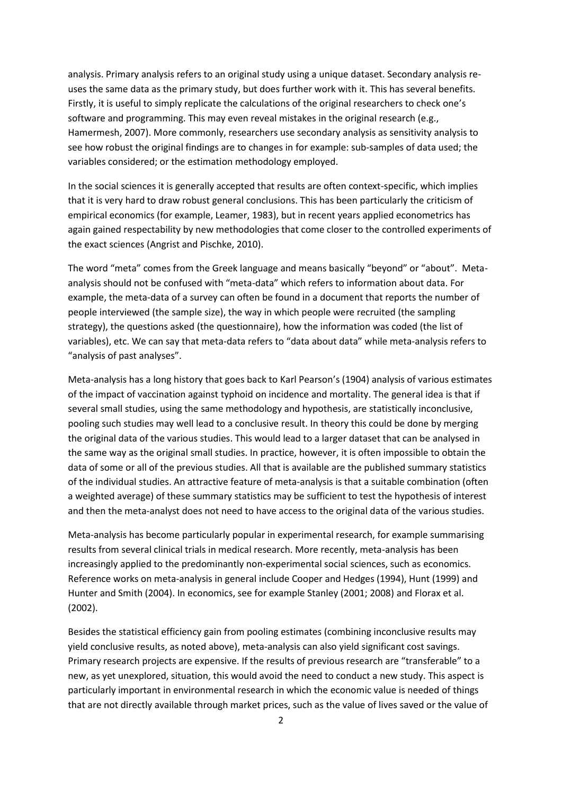analysis. Primary analysis refers to an original study using a unique dataset. Secondary analysis reuses the same data as the primary study, but does further work with it. This has several benefits. Firstly, it is useful to simply replicate the calculations of the original researchers to check one's software and programming. This may even reveal mistakes in the original research (e.g., Hamermesh, 2007). More commonly, researchers use secondary analysis as sensitivity analysis to see how robust the original findings are to changes in for example: sub-samples of data used; the variables considered; or the estimation methodology employed.

In the social sciences it is generally accepted that results are often context-specific, which implies that it is very hard to draw robust general conclusions. This has been particularly the criticism of empirical economics (for example, Leamer, 1983), but in recent years applied econometrics has again gained respectability by new methodologies that come closer to the controlled experiments of the exact sciences (Angrist and Pischke, 2010).

The word "meta" comes from the Greek language and means basically "beyond" or "about". Metaanalysis should not be confused with "meta-data" which refers to information about data. For example, the meta-data of a survey can often be found in a document that reports the number of people interviewed (the sample size), the way in which people were recruited (the sampling strategy), the questions asked (the questionnaire), how the information was coded (the list of variables), etc. We can say that meta-data refers to "data about data" while meta-analysis refers to "analysis of past analyses".

Meta-analysis has a long history that goes back to Karl Pearson's (1904) analysis of various estimates of the impact of vaccination against typhoid on incidence and mortality. The general idea is that if several small studies, using the same methodology and hypothesis, are statistically inconclusive, pooling such studies may well lead to a conclusive result. In theory this could be done by merging the original data of the various studies. This would lead to a larger dataset that can be analysed in the same way as the original small studies. In practice, however, it is often impossible to obtain the data of some or all of the previous studies. All that is available are the published summary statistics of the individual studies. An attractive feature of meta-analysis is that a suitable combination (often a weighted average) of these summary statistics may be sufficient to test the hypothesis of interest and then the meta-analyst does not need to have access to the original data of the various studies.

Meta-analysis has become particularly popular in experimental research, for example summarising results from several clinical trials in medical research. More recently, meta-analysis has been increasingly applied to the predominantly non-experimental social sciences, such as economics. Reference works on meta-analysis in general include Cooper and Hedges (1994), Hunt (1999) and Hunter and Smith (2004). In economics, see for example Stanley (2001; 2008) and Florax et al. (2002).

Besides the statistical efficiency gain from pooling estimates (combining inconclusive results may yield conclusive results, as noted above), meta-analysis can also yield significant cost savings. Primary research projects are expensive. If the results of previous research are "transferable" to a new, as yet unexplored, situation, this would avoid the need to conduct a new study. This aspect is particularly important in environmental research in which the economic value is needed of things that are not directly available through market prices, such as the value of lives saved or the value of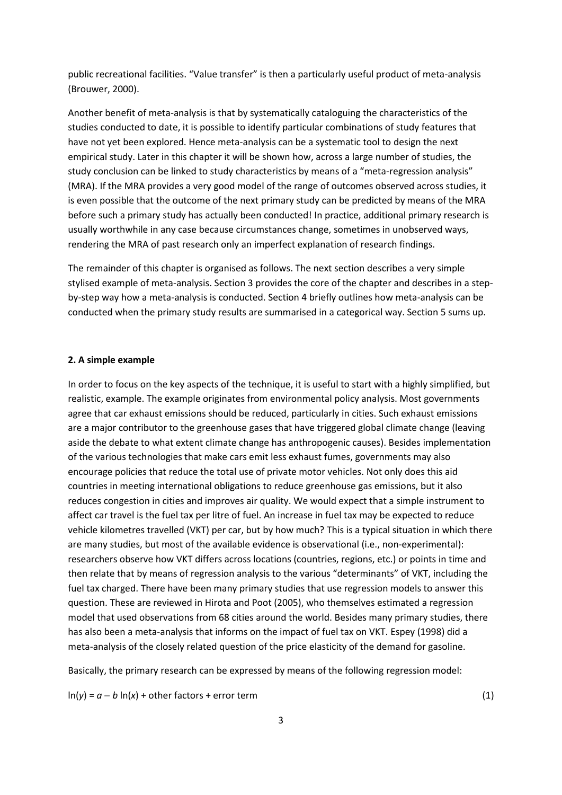public recreational facilities. "Value transfer" is then a particularly useful product of meta-analysis (Brouwer, 2000).

Another benefit of meta-analysis is that by systematically cataloguing the characteristics of the studies conducted to date, it is possible to identify particular combinations of study features that have not yet been explored. Hence meta-analysis can be a systematic tool to design the next empirical study. Later in this chapter it will be shown how, across a large number of studies, the study conclusion can be linked to study characteristics by means of a "meta-regression analysis" (MRA). If the MRA provides a very good model of the range of outcomes observed across studies, it is even possible that the outcome of the next primary study can be predicted by means of the MRA before such a primary study has actually been conducted! In practice, additional primary research is usually worthwhile in any case because circumstances change, sometimes in unobserved ways, rendering the MRA of past research only an imperfect explanation of research findings.

The remainder of this chapter is organised as follows. The next section describes a very simple stylised example of meta-analysis. Section 3 provides the core of the chapter and describes in a stepby-step way how a meta-analysis is conducted. Section 4 briefly outlines how meta-analysis can be conducted when the primary study results are summarised in a categorical way. Section 5 sums up.

#### **2. A simple example**

In order to focus on the key aspects of the technique, it is useful to start with a highly simplified, but realistic, example. The example originates from environmental policy analysis. Most governments agree that car exhaust emissions should be reduced, particularly in cities. Such exhaust emissions are a major contributor to the greenhouse gases that have triggered global climate change (leaving aside the debate to what extent climate change has anthropogenic causes). Besides implementation of the various technologies that make cars emit less exhaust fumes, governments may also encourage policies that reduce the total use of private motor vehicles. Not only does this aid countries in meeting international obligations to reduce greenhouse gas emissions, but it also reduces congestion in cities and improves air quality. We would expect that a simple instrument to affect car travel is the fuel tax per litre of fuel. An increase in fuel tax may be expected to reduce vehicle kilometres travelled (VKT) per car, but by how much? This is a typical situation in which there are many studies, but most of the available evidence is observational (i.e., non-experimental): researchers observe how VKT differs across locations (countries, regions, etc.) or points in time and then relate that by means of regression analysis to the various "determinants" of VKT, including the fuel tax charged. There have been many primary studies that use regression models to answer this question. These are reviewed in Hirota and Poot (2005), who themselves estimated a regression model that used observations from 68 cities around the world. Besides many primary studies, there has also been a meta-analysis that informs on the impact of fuel tax on VKT. Espey (1998) did a meta-analysis of the closely related question of the price elasticity of the demand for gasoline.

Basically, the primary research can be expressed by means of the following regression model:

 $\ln(y) = a - b \ln(x) + \text{other factors} + \text{error term}$  (1)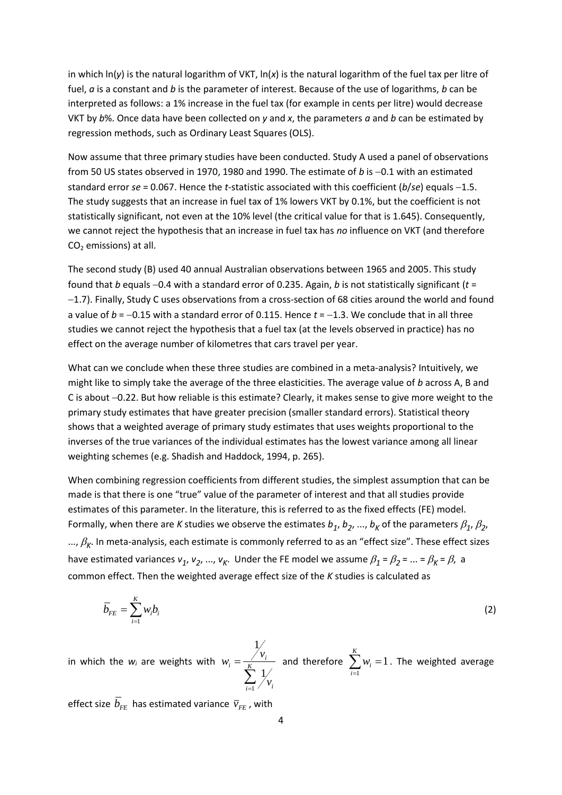in which ln(*y*) is the natural logarithm of VKT, ln(*x*) is the natural logarithm of the fuel tax per litre of fuel, *a* is a constant and *b* is the parameter of interest. Because of the use of logarithms, *b* can be interpreted as follows: a 1% increase in the fuel tax (for example in cents per litre) would decrease VKT by *b*%. Once data have been collected on *y* and *x*, the parameters *a* and *b* can be estimated by regression methods, such as Ordinary Least Squares (OLS).

Now assume that three primary studies have been conducted. Study A used a panel of observations from 50 US states observed in 1970, 1980 and 1990. The estimate of *b* is -0.1 with an estimated standard error *se* = 0.067. Hence the *t*-statistic associated with this coefficient (*b/se*) equals -1.5. The study suggests that an increase in fuel tax of 1% lowers VKT by 0.1%, but the coefficient is not statistically significant, not even at the 10% level (the critical value for that is 1.645). Consequently, we cannot reject the hypothesis that an increase in fuel tax has *no* influence on VKT (and therefore  $CO<sub>2</sub>$  emissions) at all.

The second study (B) used 40 annual Australian observations between 1965 and 2005. This study found that *b* equals 0.4 with a standard error of 0.235. Again, *b* is not statistically significant (*t* = 1.7). Finally, Study C uses observations from a cross-section of 68 cities around the world and found a value of  $b = -0.15$  with a standard error of 0.115. Hence  $t = -1.3$ . We conclude that in all three studies we cannot reject the hypothesis that a fuel tax (at the levels observed in practice) has no effect on the average number of kilometres that cars travel per year.

What can we conclude when these three studies are combined in a meta-analysis? Intuitively, we might like to simply take the average of the three elasticities. The average value of *b* across A, B and C is about -0.22. But how reliable is this estimate? Clearly, it makes sense to give more weight to the primary study estimates that have greater precision (smaller standard errors). Statistical theory shows that a weighted average of primary study estimates that uses weights proportional to the inverses of the true variances of the individual estimates has the lowest variance among all linear weighting schemes (e.g. Shadish and Haddock, 1994, p. 265).

When combining regression coefficients from different studies, the simplest assumption that can be made is that there is one "true" value of the parameter of interest and that all studies provide estimates of this parameter. In the literature, this is referred to as the fixed effects (FE) model. Formally, when there are *K* studies we observe the estimates  $b_1$ ,  $b_2$ , ...,  $b_K$  of the parameters  $\beta_1$ ,  $\beta_2$ ,  $...$ ,  $\beta_K$ . In meta-analysis, each estimate is commonly referred to as an "effect size". These effect sizes have estimated variances  $v_1$ ,  $v_2$ , ...,  $v_K$ . Under the FE model we assume  $\beta_1 = \beta_2 = ... = \beta_K = \beta$ , a common effect. Then the weighted average effect size of the *K* studies is calculated as

$$
\overline{b}_{FE} = \sum_{i=1}^{K} w_i b_i \tag{2}
$$

in which the *w<sup>i</sup>* are weights with  $\sum_{i=1}$  $=\frac{1}{K}$  $\frac{1}{i=1}$  /  $\frac{V_i}{i}$  $v_i = \frac{V_i}{K}$ *v*  $w_i = \frac{7v}{\kappa}$ 1 1 1 and therefore  $\sum w_i = 1$  $\sum_{i=1}^{\infty} w_i =$ *K i*  $w_i = 1$ . The weighted average

effect size  $b_{\scriptscriptstyle FE}$  has estimated variance  $\bar{v}_{\scriptscriptstyle FE}$  , with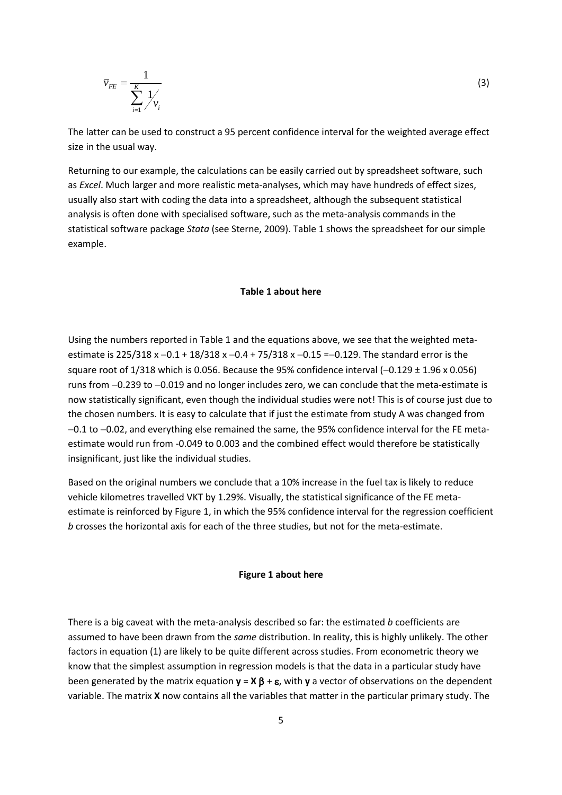$$
\overline{v}_{FE} = \frac{1}{\sum_{i=1}^{K} 1 / v_i}
$$

The latter can be used to construct a 95 percent confidence interval for the weighted average effect size in the usual way.

Returning to our example, the calculations can be easily carried out by spreadsheet software, such as *Excel*. Much larger and more realistic meta-analyses, which may have hundreds of effect sizes, usually also start with coding the data into a spreadsheet, although the subsequent statistical analysis is often done with specialised software, such as the meta-analysis commands in the statistical software package *Stata* (see Sterne, 2009). Table 1 shows the spreadsheet for our simple example.

#### **Table 1 about here**

Using the numbers reported in Table 1 and the equations above, we see that the weighted metaestimate is 225/318 x -0.1 + 18/318 x -0.4 + 75/318 x -0.15 = -0.129. The standard error is the square root of  $1/318$  which is 0.056. Because the 95% confidence interval  $(-0.129 \pm 1.96 \times 0.056)$ runs from -0.239 to -0.019 and no longer includes zero, we can conclude that the meta-estimate is now statistically significant, even though the individual studies were not! This is of course just due to the chosen numbers. It is easy to calculate that if just the estimate from study A was changed from  $-0.1$  to  $-0.02$ , and everything else remained the same, the 95% confidence interval for the FE metaestimate would run from -0.049 to 0.003 and the combined effect would therefore be statistically insignificant, just like the individual studies.

Based on the original numbers we conclude that a 10% increase in the fuel tax is likely to reduce vehicle kilometres travelled VKT by 1.29%. Visually, the statistical significance of the FE metaestimate is reinforced by Figure 1, in which the 95% confidence interval for the regression coefficient *b* crosses the horizontal axis for each of the three studies, but not for the meta-estimate.

### **Figure 1 about here**

There is a big caveat with the meta-analysis described so far: the estimated *b* coefficients are assumed to have been drawn from the *same* distribution. In reality, this is highly unlikely. The other factors in equation (1) are likely to be quite different across studies. From econometric theory we know that the simplest assumption in regression models is that the data in a particular study have been generated by the matrix equation  $y = X \beta + \varepsilon$ , with y a vector of observations on the dependent variable. The matrix **X** now contains all the variables that matter in the particular primary study. The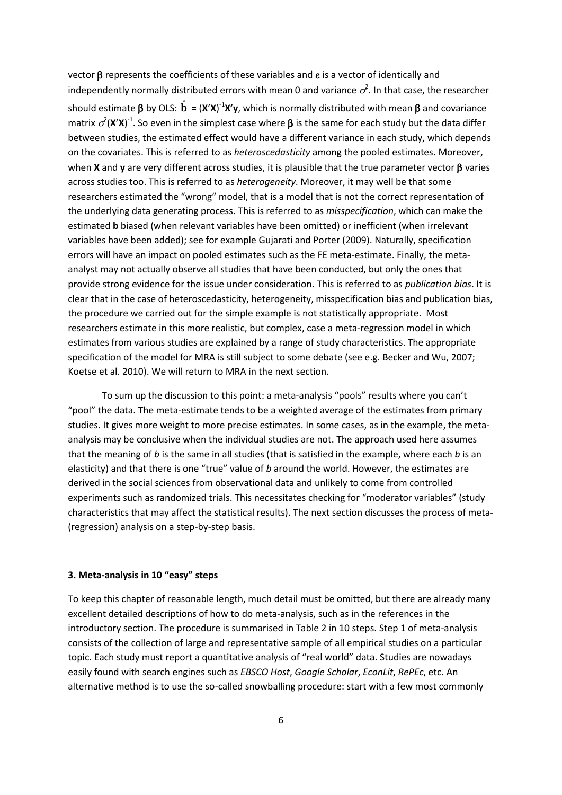vector  $\beta$  represents the coefficients of these variables and  $\varepsilon$  is a vector of identically and independently normally distributed errors with mean 0 and variance  $\sigma^2$ . In that case, the researcher should estimate  $\beta$  by OLS:  $\hat{\mathbf{b}} = (\mathbf{X}'\mathbf{X})^{\text{-1}}\mathbf{X}'\mathbf{y}$ , which is normally distributed with mean  $\beta$  and covariance matrix  $\sigma^2$ (**X'X**)<sup>-1</sup>. So even in the simplest case where  $\beta$  is the same for each study but the data differ between studies, the estimated effect would have a different variance in each study, which depends on the covariates. This is referred to as *heteroscedasticity* among the pooled estimates. Moreover, when **X** and **y** are very different across studies, it is plausible that the true parameter vector  $\beta$  varies across studies too. This is referred to as *heterogeneity*. Moreover, it may well be that some researchers estimated the "wrong" model, that is a model that is not the correct representation of the underlying data generating process. This is referred to as *misspecification*, which can make the estimated **b** biased (when relevant variables have been omitted) or inefficient (when irrelevant variables have been added); see for example Gujarati and Porter (2009). Naturally, specification errors will have an impact on pooled estimates such as the FE meta-estimate. Finally, the metaanalyst may not actually observe all studies that have been conducted, but only the ones that provide strong evidence for the issue under consideration. This is referred to as *publication bias*. It is clear that in the case of heteroscedasticity, heterogeneity, misspecification bias and publication bias, the procedure we carried out for the simple example is not statistically appropriate. Most researchers estimate in this more realistic, but complex, case a meta-regression model in which estimates from various studies are explained by a range of study characteristics. The appropriate specification of the model for MRA is still subject to some debate (see e.g. Becker and Wu, 2007; Koetse et al. 2010). We will return to MRA in the next section.

To sum up the discussion to this point: a meta-analysis "pools" results where you can't "pool" the data. The meta-estimate tends to be a weighted average of the estimates from primary studies. It gives more weight to more precise estimates. In some cases, as in the example, the metaanalysis may be conclusive when the individual studies are not. The approach used here assumes that the meaning of *b* is the same in all studies (that is satisfied in the example, where each *b* is an elasticity) and that there is one "true" value of *b* around the world. However, the estimates are derived in the social sciences from observational data and unlikely to come from controlled experiments such as randomized trials. This necessitates checking for "moderator variables" (study characteristics that may affect the statistical results). The next section discusses the process of meta- (regression) analysis on a step-by-step basis.

## **3. Meta-analysis in 10 "easy" steps**

To keep this chapter of reasonable length, much detail must be omitted, but there are already many excellent detailed descriptions of how to do meta-analysis, such as in the references in the introductory section. The procedure is summarised in Table 2 in 10 steps. Step 1 of meta-analysis consists of the collection of large and representative sample of all empirical studies on a particular topic. Each study must report a quantitative analysis of "real world" data. Studies are nowadays easily found with search engines such as *EBSCO Host*, *Google Scholar*, *EconLit*, *RePEc*, etc. An alternative method is to use the so-called snowballing procedure: start with a few most commonly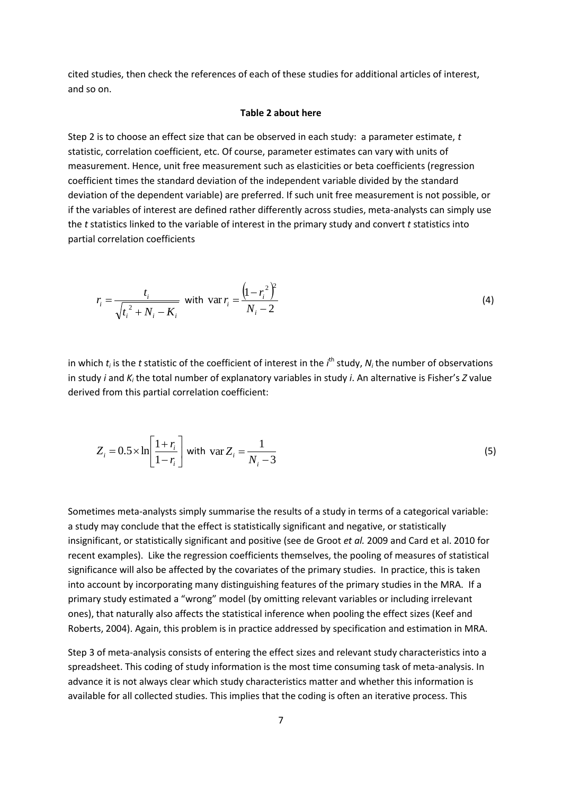cited studies, then check the references of each of these studies for additional articles of interest, and so on.

#### **Table 2 about here**

Step 2 is to choose an effect size that can be observed in each study: a parameter estimate, *t* statistic, correlation coefficient, etc. Of course, parameter estimates can vary with units of measurement. Hence, unit free measurement such as elasticities or beta coefficients (regression coefficient times the standard deviation of the independent variable divided by the standard deviation of the dependent variable) are preferred. If such unit free measurement is not possible, or if the variables of interest are defined rather differently across studies, meta-analysts can simply use the *t* statistics linked to the variable of interest in the primary study and convert *t* statistics into partial correlation coefficients

$$
r_i = \frac{t_i}{\sqrt{t_i^2 + N_i - K_i}} \text{ with } \text{var } r_i = \frac{\left(1 - r_i^2\right)^2}{N_i - 2} \tag{4}
$$

in which  $t_i$  is the *t* statistic of the coefficient of interest in the  $i^{\text{th}}$  study,  $N_i$  the number of observations in study *i* and *K<sup>i</sup>* the total number of explanatory variables in study *i*. An alternative is Fisher's *Z* value derived from this partial correlation coefficient:

$$
Z_i = 0.5 \times \ln\left[\frac{1 + r_i}{1 - r_i}\right] \text{ with } \text{var } Z_i = \frac{1}{N_i - 3} \tag{5}
$$

Sometimes meta-analysts simply summarise the results of a study in terms of a categorical variable: a study may conclude that the effect is statistically significant and negative, or statistically insignificant, or statistically significant and positive (see de Groot *et al.* 2009 and Card et al. 2010 for recent examples). Like the regression coefficients themselves, the pooling of measures of statistical significance will also be affected by the covariates of the primary studies. In practice, this is taken into account by incorporating many distinguishing features of the primary studies in the MRA. If a primary study estimated a "wrong" model (by omitting relevant variables or including irrelevant ones), that naturally also affects the statistical inference when pooling the effect sizes (Keef and Roberts, 2004). Again, this problem is in practice addressed by specification and estimation in MRA.

Step 3 of meta-analysis consists of entering the effect sizes and relevant study characteristics into a spreadsheet. This coding of study information is the most time consuming task of meta-analysis. In advance it is not always clear which study characteristics matter and whether this information is available for all collected studies. This implies that the coding is often an iterative process. This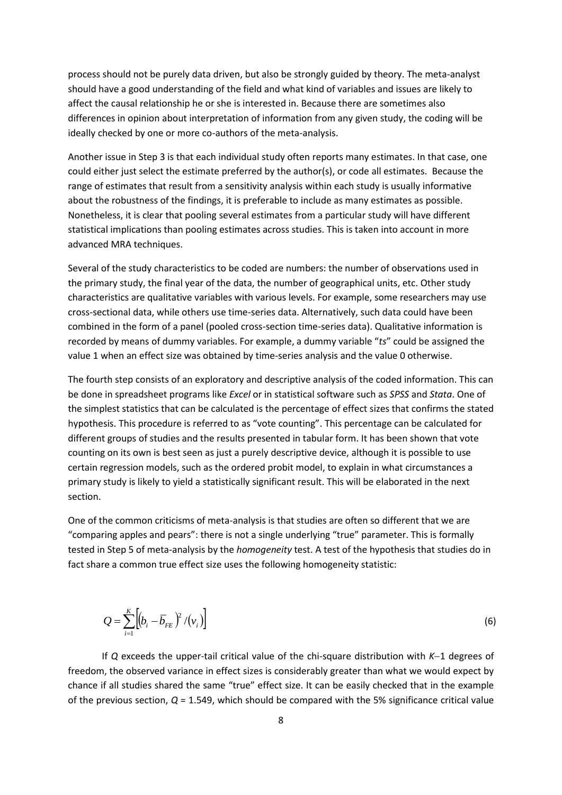process should not be purely data driven, but also be strongly guided by theory. The meta-analyst should have a good understanding of the field and what kind of variables and issues are likely to affect the causal relationship he or she is interested in. Because there are sometimes also differences in opinion about interpretation of information from any given study, the coding will be ideally checked by one or more co-authors of the meta-analysis.

Another issue in Step 3 is that each individual study often reports many estimates. In that case, one could either just select the estimate preferred by the author(s), or code all estimates. Because the range of estimates that result from a sensitivity analysis within each study is usually informative about the robustness of the findings, it is preferable to include as many estimates as possible. Nonetheless, it is clear that pooling several estimates from a particular study will have different statistical implications than pooling estimates across studies. This is taken into account in more advanced MRA techniques.

Several of the study characteristics to be coded are numbers: the number of observations used in the primary study, the final year of the data, the number of geographical units, etc. Other study characteristics are qualitative variables with various levels. For example, some researchers may use cross-sectional data, while others use time-series data. Alternatively, such data could have been combined in the form of a panel (pooled cross-section time-series data). Qualitative information is recorded by means of dummy variables. For example, a dummy variable "*ts*" could be assigned the value 1 when an effect size was obtained by time-series analysis and the value 0 otherwise.

The fourth step consists of an exploratory and descriptive analysis of the coded information. This can be done in spreadsheet programs like *Excel* or in statistical software such as *SPSS* and *Stata*. One of the simplest statistics that can be calculated is the percentage of effect sizes that confirms the stated hypothesis. This procedure is referred to as "vote counting". This percentage can be calculated for different groups of studies and the results presented in tabular form. It has been shown that vote counting on its own is best seen as just a purely descriptive device, although it is possible to use certain regression models, such as the ordered probit model, to explain in what circumstances a primary study is likely to yield a statistically significant result. This will be elaborated in the next section.

One of the common criticisms of meta-analysis is that studies are often so different that we are "comparing apples and pears": there is not a single underlying "true" parameter. This is formally tested in Step 5 of meta-analysis by the *homogeneity* test. A test of the hypothesis that studies do in fact share a common true effect size uses the following homogeneity statistic:

$$
Q = \sum_{i=1}^{K} \left[ \left( b_i - \overline{b}_{FE} \right)^2 / \left( v_i \right) \right] \tag{6}
$$

If *Q* exceeds the upper-tail critical value of the chi-square distribution with *K*-1 degrees of freedom, the observed variance in effect sizes is considerably greater than what we would expect by chance if all studies shared the same "true" effect size. It can be easily checked that in the example of the previous section, *Q* = 1.549, which should be compared with the 5% significance critical value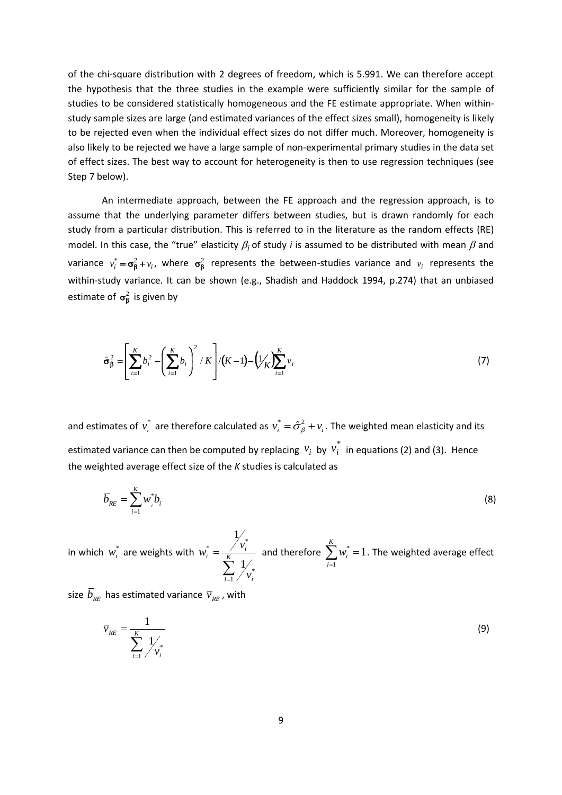of the chi-square distribution with 2 degrees of freedom, which is 5.991. We can therefore accept the hypothesis that the three studies in the example were sufficiently similar for the sample of studies to be considered statistically homogeneous and the FE estimate appropriate. When withinstudy sample sizes are large (and estimated variances of the effect sizes small), homogeneity is likely to be rejected even when the individual effect sizes do not differ much. Moreover, homogeneity is also likely to be rejected we have a large sample of non-experimental primary studies in the data set of effect sizes. The best way to account for heterogeneity is then to use regression techniques (see Step 7 below).

An intermediate approach, between the FE approach and the regression approach, is to assume that the underlying parameter differs between studies, but is drawn randomly for each study from a particular distribution. This is referred to in the literature as the random effects (RE) model. In this case, the "true" elasticity  $\beta_i$  of study *i* is assumed to be distributed with mean  $\beta$  and variance  $v_i^* = \sigma_\beta^2 + v_i$ , where  $\sigma_\beta^2$  represents the between-studies variance and  $v_i$  represents the within-study variance. It can be shown (e.g., Shadish and Haddock 1994, p.274) that an unbiased estimate of  $\sigma_{\beta}^2$  is given by

$$
\hat{\sigma}_{\beta}^{2} = \left[\sum_{i=1}^{K} b_{i}^{2} - \left(\sum_{i=1}^{K} b_{i}\right)^{2} / K\right] / (K - 1) - \left(\frac{1}{K}\right)\sum_{i=1}^{K} v_{i}
$$
\n(7)

and estimates of  $v_i^*$  $v_i^*$  are therefore calculated as  $v_i^* = \hat{\sigma}_{\beta}^2 + v_i$ . The weighted mean elasticity and its estimated variance can then be computed by replacing  $v_i$  by  $v_i^*$  $v_i^*$  in equations (2) and (3). Hence the weighted average effect size of the *K* studies is calculated as

$$
\overline{b}_{RE} = \sum_{i=1}^{K} w_i^* b_i \tag{8}
$$

in which  $w_i^*$  are weights with  $\sum_{i=1}^{\infty}$  $=\frac{1}{K}$  $i=1$  /  $V_i$  $i_i^* = \frac{\gamma}{K}$ *v*  $w_i^* = \frac{\sqrt{v}}{r}$ 1 \* \*  $\bigvee^*$ 1 1 and therefore  $\sum w_i^* = 1$  $\sum_{i=1}^{\infty}w_i^* =$ *K i*  $w_i^* = 1$ . The weighted average effect

size  $b_{\textit{RE}}$  has estimated variance  $\bar{v}_{\textit{RE}}$ , with

$$
\overline{\nu}_{RE} = \frac{1}{\sum_{i=1}^{K} \frac{1}{\nu_i}},\tag{9}
$$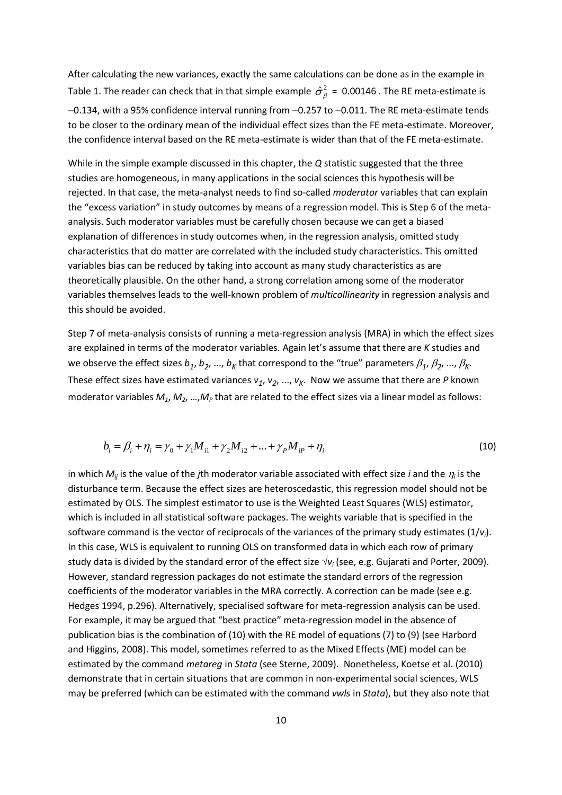After calculating the new variances, exactly the same calculations can be done as in the example in Table 1. The reader can check that in that simple example  $\hat{\sigma}_{\beta}^2$  = 0.00146 . The RE meta-estimate is  $-0.134$ , with a 95% confidence interval running from  $-0.257$  to  $-0.011$ . The RE meta-estimate tends to be closer to the ordinary mean of the individual effect sizes than the FE meta-estimate. Moreover, the confidence interval based on the RE meta-estimate is wider than that of the FE meta-estimate.

While in the simple example discussed in this chapter, the *Q* statistic suggested that the three studies are homogeneous, in many applications in the social sciences this hypothesis will be rejected. In that case, the meta-analyst needs to find so-called *moderator* variables that can explain the "excess variation" in study outcomes by means of a regression model. This is Step 6 of the metaanalysis. Such moderator variables must be carefully chosen because we can get a biased explanation of differences in study outcomes when, in the regression analysis, omitted study characteristics that do matter are correlated with the included study characteristics. This omitted variables bias can be reduced by taking into account as many study characteristics as are theoretically plausible. On the other hand, a strong correlation among some of the moderator variables themselves leads to the well-known problem of *multicollinearity* in regression analysis and this should be avoided.

Step 7 of meta-analysis consists of running a meta-regression analysis (MRA) in which the effect sizes are explained in terms of the moderator variables. Again let's assume that there are *K* studies and we observe the effect sizes  $b_1$ ,  $b_2$ , ...,  $b_K$  that correspond to the "true" parameters  $\beta_1$ ,  $\beta_2$ , ...,  $\beta_K$ . These effect sizes have estimated variances *v<sup>1</sup>* , *v<sup>2</sup>* , ..., *v<sup>K</sup>* . Now we assume that there are *P* known moderator variables  $M_1$ ,  $M_2$ , ..., $M_P$  that are related to the effect sizes via a linear model as follows:

$$
b_i = \beta_i + \eta_i = \gamma_0 + \gamma_1 M_{i1} + \gamma_2 M_{i2} + \dots + \gamma_p M_{ip} + \eta_i
$$
\n(10)

in which  $M_{ij}$  is the value of the *j*th moderator variable associated with effect size *i* and the  $\eta_i$  is the disturbance term. Because the effect sizes are heteroscedastic, this regression model should not be estimated by OLS. The simplest estimator to use is the Weighted Least Squares (WLS) estimator, which is included in all statistical software packages. The weights variable that is specified in the software command is the vector of reciprocals of the variances of the primary study estimates (1/*vi*). In this case, WLS is equivalent to running OLS on transformed data in which each row of primary study data is divided by the standard error of the effect size  $\sqrt{v_i}$  (see, e.g. Gujarati and Porter, 2009). However, standard regression packages do not estimate the standard errors of the regression coefficients of the moderator variables in the MRA correctly. A correction can be made (see e.g. Hedges 1994, p.296). Alternatively, specialised software for meta-regression analysis can be used. For example, it may be argued that "best practice" meta-regression model in the absence of publication bias is the combination of (10) with the RE model of equations (7) to (9) (see Harbord and Higgins, 2008). This model, sometimes referred to as the Mixed Effects (ME) model can be estimated by the command *metareg* in *Stata* (see Sterne, 2009). Nonetheless, Koetse et al. (2010) demonstrate that in certain situations that are common in non-experimental social sciences, WLS may be preferred (which can be estimated with the command *vwls* in *Stata*), but they also note that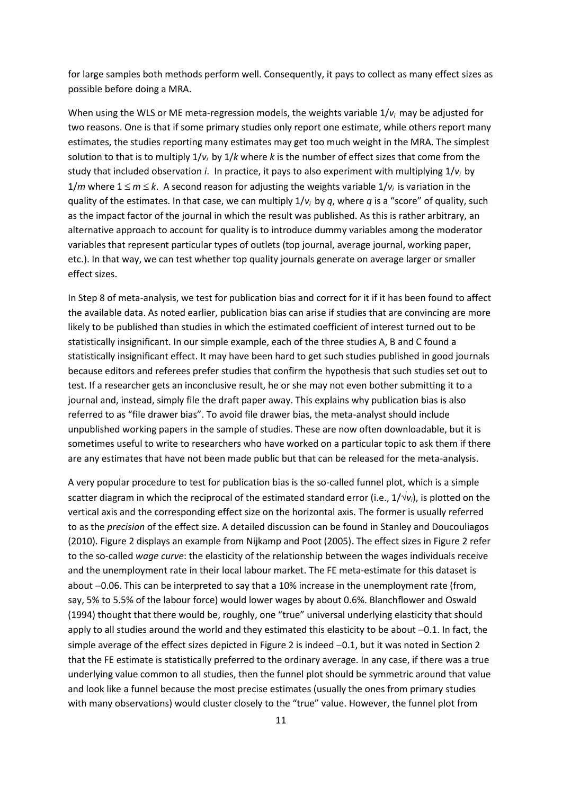for large samples both methods perform well. Consequently, it pays to collect as many effect sizes as possible before doing a MRA.

When using the WLS or ME meta-regression models, the weights variable 1/*v<sup>i</sup>* may be adjusted for two reasons. One is that if some primary studies only report one estimate, while others report many estimates, the studies reporting many estimates may get too much weight in the MRA. The simplest solution to that is to multiply 1/*v<sup>i</sup>* by 1/*k* where *k* is the number of effect sizes that come from the study that included observation *i*. In practice, it pays to also experiment with multiplying 1/*v<sup>i</sup>* by 1/*m* where  $1 \le m \le k$ . A second reason for adjusting the weights variable 1/ $v_i$  is variation in the quality of the estimates. In that case, we can multiply 1/*v<sup>i</sup>* by *q*, where *q* is a "score" of quality, such as the impact factor of the journal in which the result was published. As this is rather arbitrary, an alternative approach to account for quality is to introduce dummy variables among the moderator variables that represent particular types of outlets (top journal, average journal, working paper, etc.). In that way, we can test whether top quality journals generate on average larger or smaller effect sizes.

In Step 8 of meta-analysis, we test for publication bias and correct for it if it has been found to affect the available data. As noted earlier, publication bias can arise if studies that are convincing are more likely to be published than studies in which the estimated coefficient of interest turned out to be statistically insignificant. In our simple example, each of the three studies A, B and C found a statistically insignificant effect. It may have been hard to get such studies published in good journals because editors and referees prefer studies that confirm the hypothesis that such studies set out to test. If a researcher gets an inconclusive result, he or she may not even bother submitting it to a journal and, instead, simply file the draft paper away. This explains why publication bias is also referred to as "file drawer bias". To avoid file drawer bias, the meta-analyst should include unpublished working papers in the sample of studies. These are now often downloadable, but it is sometimes useful to write to researchers who have worked on a particular topic to ask them if there are any estimates that have not been made public but that can be released for the meta-analysis.

A very popular procedure to test for publication bias is the so-called funnel plot, which is a simple scatter diagram in which the reciprocal of the estimated standard error (i.e.,  $1/\sqrt{v_i}$ ), is plotted on the vertical axis and the corresponding effect size on the horizontal axis. The former is usually referred to as the *precision* of the effect size. A detailed discussion can be found in Stanley and Doucouliagos (2010). Figure 2 displays an example from Nijkamp and Poot (2005). The effect sizes in Figure 2 refer to the so-called *wage curve*: the elasticity of the relationship between the wages individuals receive and the unemployment rate in their local labour market. The FE meta-estimate for this dataset is about -0.06. This can be interpreted to say that a 10% increase in the unemployment rate (from, say, 5% to 5.5% of the labour force) would lower wages by about 0.6%. Blanchflower and Oswald (1994) thought that there would be, roughly, one "true" universal underlying elasticity that should apply to all studies around the world and they estimated this elasticity to be about -0.1. In fact, the simple average of the effect sizes depicted in Figure 2 is indeed -0.1, but it was noted in Section 2 that the FE estimate is statistically preferred to the ordinary average. In any case, if there was a true underlying value common to all studies, then the funnel plot should be symmetric around that value and look like a funnel because the most precise estimates (usually the ones from primary studies with many observations) would cluster closely to the "true" value. However, the funnel plot from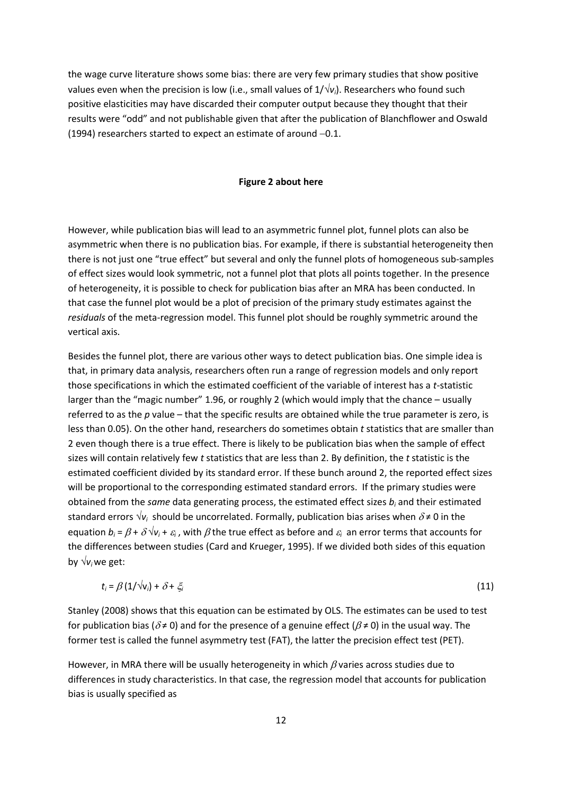the wage curve literature shows some bias: there are very few primary studies that show positive values even when the precision is low (i.e., small values of  $1/\sqrt{v_i}$ ). Researchers who found such positive elasticities may have discarded their computer output because they thought that their results were "odd" and not publishable given that after the publication of Blanchflower and Oswald (1994) researchers started to expect an estimate of around  $-0.1$ .

## **Figure 2 about here**

However, while publication bias will lead to an asymmetric funnel plot, funnel plots can also be asymmetric when there is no publication bias. For example, if there is substantial heterogeneity then there is not just one "true effect" but several and only the funnel plots of homogeneous sub-samples of effect sizes would look symmetric, not a funnel plot that plots all points together. In the presence of heterogeneity, it is possible to check for publication bias after an MRA has been conducted. In that case the funnel plot would be a plot of precision of the primary study estimates against the *residuals* of the meta-regression model. This funnel plot should be roughly symmetric around the vertical axis.

Besides the funnel plot, there are various other ways to detect publication bias. One simple idea is that, in primary data analysis, researchers often run a range of regression models and only report those specifications in which the estimated coefficient of the variable of interest has a *t*-statistic larger than the "magic number" 1.96, or roughly 2 (which would imply that the chance – usually referred to as the *p* value – that the specific results are obtained while the true parameter is zero, is less than 0.05). On the other hand, researchers do sometimes obtain *t* statistics that are smaller than 2 even though there is a true effect. There is likely to be publication bias when the sample of effect sizes will contain relatively few *t* statistics that are less than 2. By definition, the *t* statistic is the estimated coefficient divided by its standard error. If these bunch around 2, the reported effect sizes will be proportional to the corresponding estimated standard errors. If the primary studies were obtained from the *same* data generating process, the estimated effect sizes *b<sup>i</sup>* and their estimated standard errors  $\forall v_i$  should be uncorrelated. Formally, publication bias arises when  $\delta \neq 0$  in the equation  $b_i = \beta + \delta \sqrt{v_i + \varepsilon_i}$ , with  $\beta$  the true effect as before and  $\varepsilon_i$  an error terms that accounts for the differences between studies (Card and Krueger, 1995). If we divided both sides of this equation by  $\sqrt{v_i}$  we get:

$$
t_i = \beta \left( 1/\sqrt{v_i} \right) + \delta + \xi_i \tag{11}
$$

Stanley (2008) shows that this equation can be estimated by OLS. The estimates can be used to test for publication bias ( $\delta \neq 0$ ) and for the presence of a genuine effect ( $\beta \neq 0$ ) in the usual way. The former test is called the funnel asymmetry test (FAT), the latter the precision effect test (PET).

However, in MRA there will be usually heterogeneity in which  $\beta$  varies across studies due to differences in study characteristics. In that case, the regression model that accounts for publication bias is usually specified as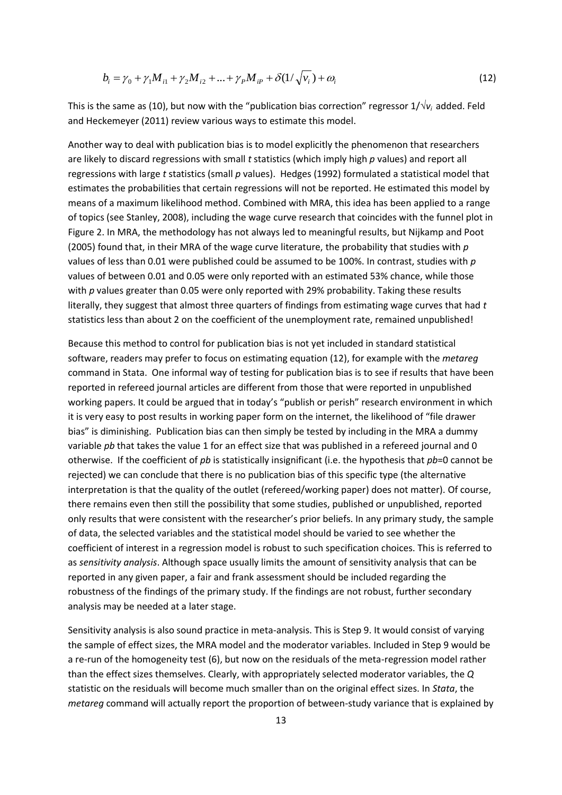$$
b_i = \gamma_0 + \gamma_1 M_{i1} + \gamma_2 M_{i2} + \dots + \gamma_p M_{ip} + \delta(1/\sqrt{v_i}) + \omega_i
$$
\n(12)

This is the same as (10), but now with the "publication bias correction" regressor  $1/\sqrt{v_i}$  added. Feld and Heckemeyer (2011) review various ways to estimate this model.

Another way to deal with publication bias is to model explicitly the phenomenon that researchers are likely to discard regressions with small *t* statistics (which imply high *p* values) and report all regressions with large *t* statistics (small *p* values). Hedges (1992) formulated a statistical model that estimates the probabilities that certain regressions will not be reported. He estimated this model by means of a maximum likelihood method. Combined with MRA, this idea has been applied to a range of topics (see Stanley, 2008), including the wage curve research that coincides with the funnel plot in Figure 2. In MRA, the methodology has not always led to meaningful results, but Nijkamp and Poot (2005) found that, in their MRA of the wage curve literature, the probability that studies with *p* values of less than 0.01 were published could be assumed to be 100%. In contrast, studies with *p* values of between 0.01 and 0.05 were only reported with an estimated 53% chance, while those with *p* values greater than 0.05 were only reported with 29% probability. Taking these results literally, they suggest that almost three quarters of findings from estimating wage curves that had *t* statistics less than about 2 on the coefficient of the unemployment rate, remained unpublished!

Because this method to control for publication bias is not yet included in standard statistical software, readers may prefer to focus on estimating equation (12), for example with the *metareg* command in Stata. One informal way of testing for publication bias is to see if results that have been reported in refereed journal articles are different from those that were reported in unpublished working papers. It could be argued that in today's "publish or perish" research environment in which it is very easy to post results in working paper form on the internet, the likelihood of "file drawer bias" is diminishing. Publication bias can then simply be tested by including in the MRA a dummy variable *pb* that takes the value 1 for an effect size that was published in a refereed journal and 0 otherwise. If the coefficient of *pb* is statistically insignificant (i.e. the hypothesis that *pb*=0 cannot be rejected) we can conclude that there is no publication bias of this specific type (the alternative interpretation is that the quality of the outlet (refereed/working paper) does not matter). Of course, there remains even then still the possibility that some studies, published or unpublished, reported only results that were consistent with the researcher's prior beliefs. In any primary study, the sample of data, the selected variables and the statistical model should be varied to see whether the coefficient of interest in a regression model is robust to such specification choices. This is referred to as *sensitivity analysis*. Although space usually limits the amount of sensitivity analysis that can be reported in any given paper, a fair and frank assessment should be included regarding the robustness of the findings of the primary study. If the findings are not robust, further secondary analysis may be needed at a later stage.

Sensitivity analysis is also sound practice in meta-analysis. This is Step 9. It would consist of varying the sample of effect sizes, the MRA model and the moderator variables. Included in Step 9 would be a re-run of the homogeneity test (6), but now on the residuals of the meta-regression model rather than the effect sizes themselves. Clearly, with appropriately selected moderator variables, the *Q*  statistic on the residuals will become much smaller than on the original effect sizes. In *Stata*, the *metareg* command will actually report the proportion of between-study variance that is explained by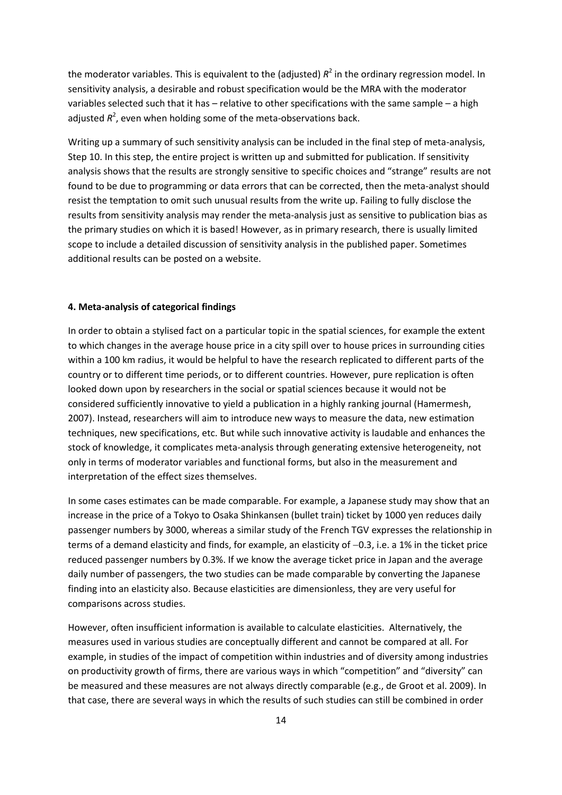the moderator variables. This is equivalent to the (adjusted)  $R^2$  in the ordinary regression model. In sensitivity analysis, a desirable and robust specification would be the MRA with the moderator variables selected such that it has – relative to other specifications with the same sample – a high adjusted  $R^2$ , even when holding some of the meta-observations back.

Writing up a summary of such sensitivity analysis can be included in the final step of meta-analysis, Step 10. In this step, the entire project is written up and submitted for publication. If sensitivity analysis shows that the results are strongly sensitive to specific choices and "strange" results are not found to be due to programming or data errors that can be corrected, then the meta-analyst should resist the temptation to omit such unusual results from the write up. Failing to fully disclose the results from sensitivity analysis may render the meta-analysis just as sensitive to publication bias as the primary studies on which it is based! However, as in primary research, there is usually limited scope to include a detailed discussion of sensitivity analysis in the published paper. Sometimes additional results can be posted on a website.

## **4. Meta-analysis of categorical findings**

In order to obtain a stylised fact on a particular topic in the spatial sciences, for example the extent to which changes in the average house price in a city spill over to house prices in surrounding cities within a 100 km radius, it would be helpful to have the research replicated to different parts of the country or to different time periods, or to different countries. However, pure replication is often looked down upon by researchers in the social or spatial sciences because it would not be considered sufficiently innovative to yield a publication in a highly ranking journal (Hamermesh, 2007). Instead, researchers will aim to introduce new ways to measure the data, new estimation techniques, new specifications, etc. But while such innovative activity is laudable and enhances the stock of knowledge, it complicates meta-analysis through generating extensive heterogeneity, not only in terms of moderator variables and functional forms, but also in the measurement and interpretation of the effect sizes themselves.

In some cases estimates can be made comparable. For example, a Japanese study may show that an increase in the price of a Tokyo to Osaka Shinkansen (bullet train) ticket by 1000 yen reduces daily passenger numbers by 3000, whereas a similar study of the French TGV expresses the relationship in terms of a demand elasticity and finds, for example, an elasticity of  $-0.3$ , i.e. a 1% in the ticket price reduced passenger numbers by 0.3%. If we know the average ticket price in Japan and the average daily number of passengers, the two studies can be made comparable by converting the Japanese finding into an elasticity also. Because elasticities are dimensionless, they are very useful for comparisons across studies.

However, often insufficient information is available to calculate elasticities. Alternatively, the measures used in various studies are conceptually different and cannot be compared at all. For example, in studies of the impact of competition within industries and of diversity among industries on productivity growth of firms, there are various ways in which "competition" and "diversity" can be measured and these measures are not always directly comparable (e.g., de Groot et al. 2009). In that case, there are several ways in which the results of such studies can still be combined in order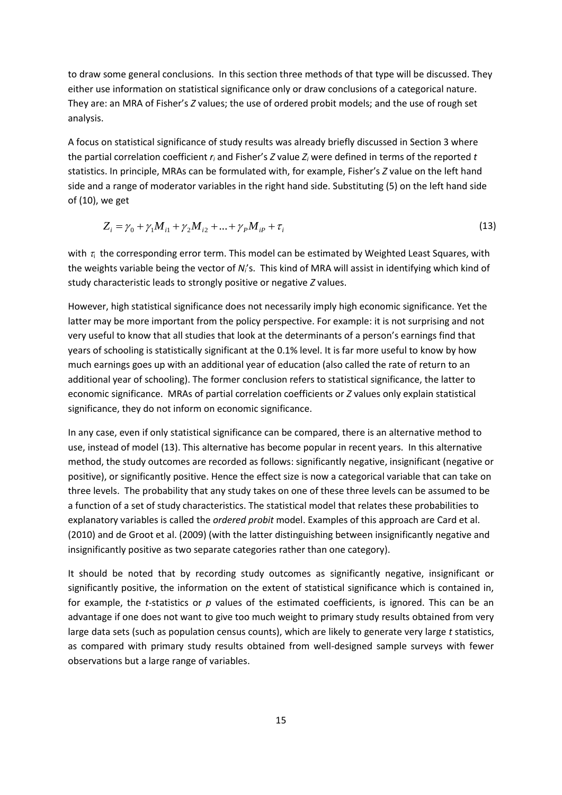to draw some general conclusions. In this section three methods of that type will be discussed. They either use information on statistical significance only or draw conclusions of a categorical nature. They are: an MRA of Fisher's *Z* values; the use of ordered probit models; and the use of rough set analysis.

A focus on statistical significance of study results was already briefly discussed in Section 3 where the partial correlation coefficient *r<sup>i</sup>* and Fisher's *Z* value *Z<sup>i</sup>* were defined in terms of the reported *t* statistics. In principle, MRAs can be formulated with, for example, Fisher's *Z* value on the left hand side and a range of moderator variables in the right hand side. Substituting (5) on the left hand side of (10), we get

$$
Z_i = \gamma_0 + \gamma_1 M_{i1} + \gamma_2 M_{i2} + \dots + \gamma_p M_{ip} + \tau_i
$$
\n(13)

with  $\tau_i$  the corresponding error term. This model can be estimated by Weighted Least Squares, with the weights variable being the vector of *N*<sub>i</sub>'s. This kind of MRA will assist in identifying which kind of study characteristic leads to strongly positive or negative *Z* values.

However, high statistical significance does not necessarily imply high economic significance. Yet the latter may be more important from the policy perspective. For example: it is not surprising and not very useful to know that all studies that look at the determinants of a person's earnings find that years of schooling is statistically significant at the 0.1% level. It is far more useful to know by how much earnings goes up with an additional year of education (also called the rate of return to an additional year of schooling). The former conclusion refers to statistical significance, the latter to economic significance. MRAs of partial correlation coefficients or *Z* values only explain statistical significance, they do not inform on economic significance.

In any case, even if only statistical significance can be compared, there is an alternative method to use, instead of model (13). This alternative has become popular in recent years. In this alternative method, the study outcomes are recorded as follows: significantly negative, insignificant (negative or positive), or significantly positive. Hence the effect size is now a categorical variable that can take on three levels. The probability that any study takes on one of these three levels can be assumed to be a function of a set of study characteristics. The statistical model that relates these probabilities to explanatory variables is called the *ordered probit* model. Examples of this approach are Card et al. (2010) and de Groot et al. (2009) (with the latter distinguishing between insignificantly negative and insignificantly positive as two separate categories rather than one category).

It should be noted that by recording study outcomes as significantly negative, insignificant or significantly positive, the information on the extent of statistical significance which is contained in, for example, the *t*-statistics or *p* values of the estimated coefficients, is ignored. This can be an advantage if one does not want to give too much weight to primary study results obtained from very large data sets (such as population census counts), which are likely to generate very large *t* statistics, as compared with primary study results obtained from well-designed sample surveys with fewer observations but a large range of variables.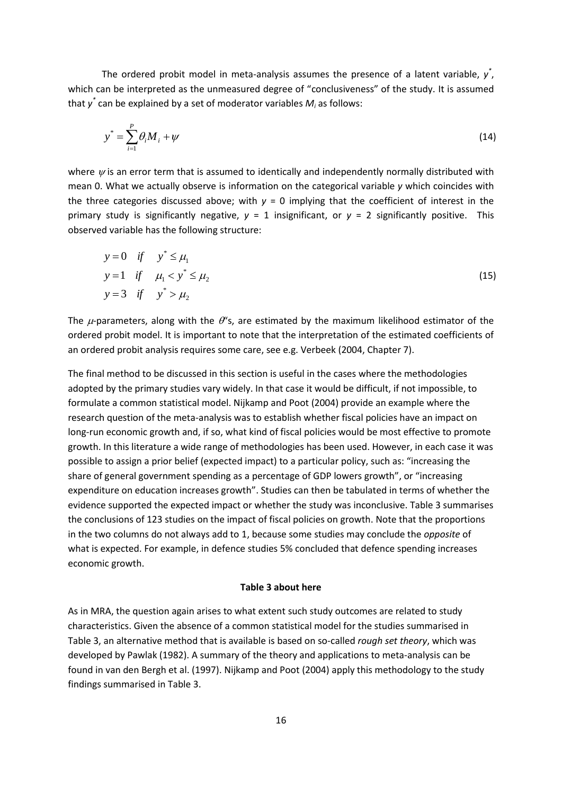The ordered probit model in meta-analysis assumes the presence of a latent variable, *y \** , which can be interpreted as the unmeasured degree of "conclusiveness" of the study. It is assumed that *y \** can be explained by a set of moderator variables *M<sup>i</sup>* as follows:

$$
y^* = \sum_{i=1}^P \theta_i M_i + \psi \tag{14}
$$

where  $\psi$  is an error term that is assumed to identically and independently normally distributed with mean 0. What we actually observe is information on the categorical variable *y* which coincides with the three categories discussed above; with  $y = 0$  implying that the coefficient of interest in the primary study is significantly negative, *y* = 1 insignificant, or *y* = 2 significantly positive. This observed variable has the following structure:

2 \* 2 \* 1 1 \* 0 *y if y* 3 1 *y if y y if y* (15)

The  $\mu$ -parameters, along with the  $\theta$ 's, are estimated by the maximum likelihood estimator of the ordered probit model. It is important to note that the interpretation of the estimated coefficients of an ordered probit analysis requires some care, see e.g. Verbeek (2004, Chapter 7).

The final method to be discussed in this section is useful in the cases where the methodologies adopted by the primary studies vary widely. In that case it would be difficult, if not impossible, to formulate a common statistical model. Nijkamp and Poot (2004) provide an example where the research question of the meta-analysis was to establish whether fiscal policies have an impact on long-run economic growth and, if so, what kind of fiscal policies would be most effective to promote growth. In this literature a wide range of methodologies has been used. However, in each case it was possible to assign a prior belief (expected impact) to a particular policy, such as: "increasing the share of general government spending as a percentage of GDP lowers growth", or "increasing expenditure on education increases growth". Studies can then be tabulated in terms of whether the evidence supported the expected impact or whether the study was inconclusive. Table 3 summarises the conclusions of 123 studies on the impact of fiscal policies on growth. Note that the proportions in the two columns do not always add to 1, because some studies may conclude the *opposite* of what is expected. For example, in defence studies 5% concluded that defence spending increases economic growth.

#### **Table 3 about here**

As in MRA, the question again arises to what extent such study outcomes are related to study characteristics. Given the absence of a common statistical model for the studies summarised in Table 3, an alternative method that is available is based on so-called *rough set theory*, which was developed by Pawlak (1982). A summary of the theory and applications to meta-analysis can be found in van den Bergh et al. (1997). Nijkamp and Poot (2004) apply this methodology to the study findings summarised in Table 3.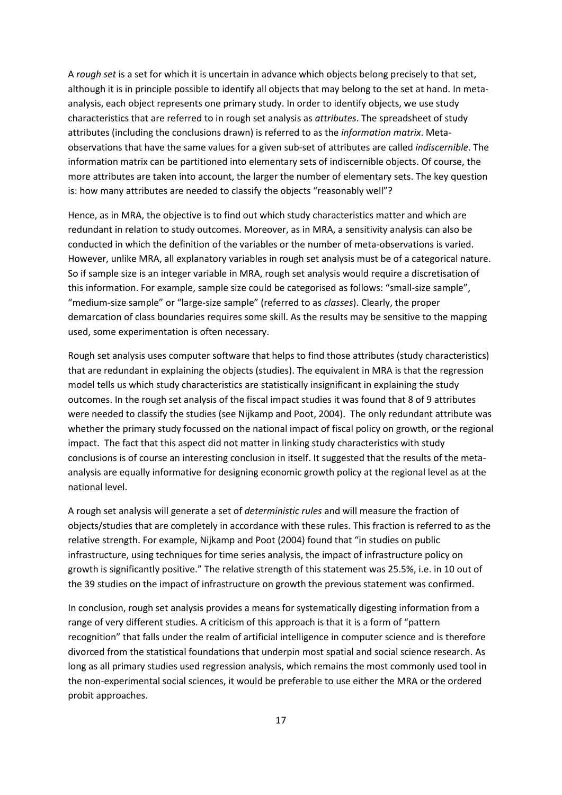A *rough set* is a set for which it is uncertain in advance which objects belong precisely to that set, although it is in principle possible to identify all objects that may belong to the set at hand. In metaanalysis, each object represents one primary study. In order to identify objects, we use study characteristics that are referred to in rough set analysis as *attributes*. The spreadsheet of study attributes (including the conclusions drawn) is referred to as the *information matrix*. Metaobservations that have the same values for a given sub-set of attributes are called *indiscernible*. The information matrix can be partitioned into elementary sets of indiscernible objects. Of course, the more attributes are taken into account, the larger the number of elementary sets. The key question is: how many attributes are needed to classify the objects "reasonably well"?

Hence, as in MRA, the objective is to find out which study characteristics matter and which are redundant in relation to study outcomes. Moreover, as in MRA, a sensitivity analysis can also be conducted in which the definition of the variables or the number of meta-observations is varied. However, unlike MRA, all explanatory variables in rough set analysis must be of a categorical nature. So if sample size is an integer variable in MRA, rough set analysis would require a discretisation of this information. For example, sample size could be categorised as follows: "small-size sample", "medium-size sample" or "large-size sample" (referred to as *classes*). Clearly, the proper demarcation of class boundaries requires some skill. As the results may be sensitive to the mapping used, some experimentation is often necessary.

Rough set analysis uses computer software that helps to find those attributes (study characteristics) that are redundant in explaining the objects (studies). The equivalent in MRA is that the regression model tells us which study characteristics are statistically insignificant in explaining the study outcomes. In the rough set analysis of the fiscal impact studies it was found that 8 of 9 attributes were needed to classify the studies (see Nijkamp and Poot, 2004). The only redundant attribute was whether the primary study focussed on the national impact of fiscal policy on growth, or the regional impact. The fact that this aspect did not matter in linking study characteristics with study conclusions is of course an interesting conclusion in itself. It suggested that the results of the metaanalysis are equally informative for designing economic growth policy at the regional level as at the national level.

A rough set analysis will generate a set of *deterministic rules* and will measure the fraction of objects/studies that are completely in accordance with these rules. This fraction is referred to as the relative strength. For example, Nijkamp and Poot (2004) found that "in studies on public infrastructure, using techniques for time series analysis, the impact of infrastructure policy on growth is significantly positive." The relative strength of this statement was 25.5%, i.e. in 10 out of the 39 studies on the impact of infrastructure on growth the previous statement was confirmed.

In conclusion, rough set analysis provides a means for systematically digesting information from a range of very different studies. A criticism of this approach is that it is a form of "pattern recognition" that falls under the realm of artificial intelligence in computer science and is therefore divorced from the statistical foundations that underpin most spatial and social science research. As long as all primary studies used regression analysis, which remains the most commonly used tool in the non-experimental social sciences, it would be preferable to use either the MRA or the ordered probit approaches.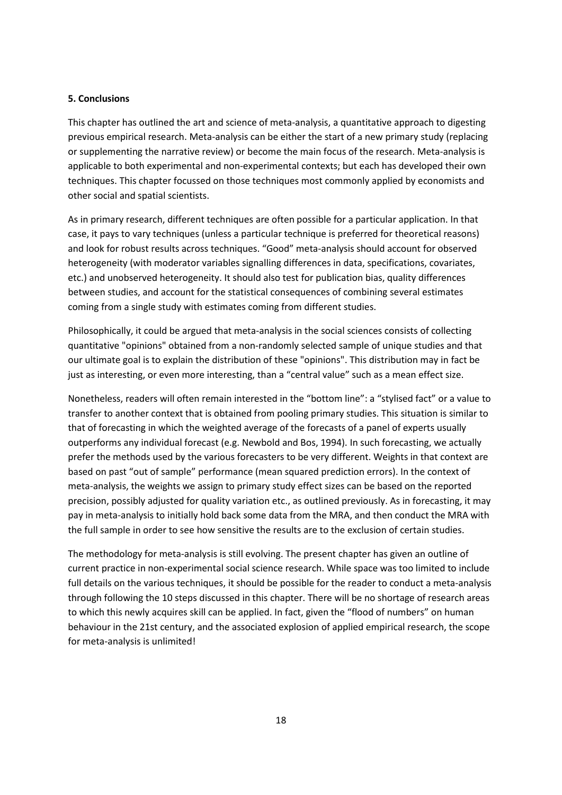## **5. Conclusions**

This chapter has outlined the art and science of meta-analysis, a quantitative approach to digesting previous empirical research. Meta-analysis can be either the start of a new primary study (replacing or supplementing the narrative review) or become the main focus of the research. Meta-analysis is applicable to both experimental and non-experimental contexts; but each has developed their own techniques. This chapter focussed on those techniques most commonly applied by economists and other social and spatial scientists.

As in primary research, different techniques are often possible for a particular application. In that case, it pays to vary techniques (unless a particular technique is preferred for theoretical reasons) and look for robust results across techniques. "Good" meta-analysis should account for observed heterogeneity (with moderator variables signalling differences in data, specifications, covariates, etc.) and unobserved heterogeneity. It should also test for publication bias, quality differences between studies, and account for the statistical consequences of combining several estimates coming from a single study with estimates coming from different studies.

Philosophically, it could be argued that meta-analysis in the social sciences consists of collecting quantitative "opinions" obtained from a non-randomly selected sample of unique studies and that our ultimate goal is to explain the distribution of these "opinions". This distribution may in fact be just as interesting, or even more interesting, than a "central value" such as a mean effect size.

Nonetheless, readers will often remain interested in the "bottom line": a "stylised fact" or a value to transfer to another context that is obtained from pooling primary studies. This situation is similar to that of forecasting in which the weighted average of the forecasts of a panel of experts usually outperforms any individual forecast (e.g. Newbold and Bos, 1994). In such forecasting, we actually prefer the methods used by the various forecasters to be very different. Weights in that context are based on past "out of sample" performance (mean squared prediction errors). In the context of meta-analysis, the weights we assign to primary study effect sizes can be based on the reported precision, possibly adjusted for quality variation etc., as outlined previously. As in forecasting, it may pay in meta-analysis to initially hold back some data from the MRA, and then conduct the MRA with the full sample in order to see how sensitive the results are to the exclusion of certain studies.

The methodology for meta-analysis is still evolving. The present chapter has given an outline of current practice in non-experimental social science research. While space was too limited to include full details on the various techniques, it should be possible for the reader to conduct a meta-analysis through following the 10 steps discussed in this chapter. There will be no shortage of research areas to which this newly acquires skill can be applied. In fact, given the "flood of numbers" on human behaviour in the 21st century, and the associated explosion of applied empirical research, the scope for meta-analysis is unlimited!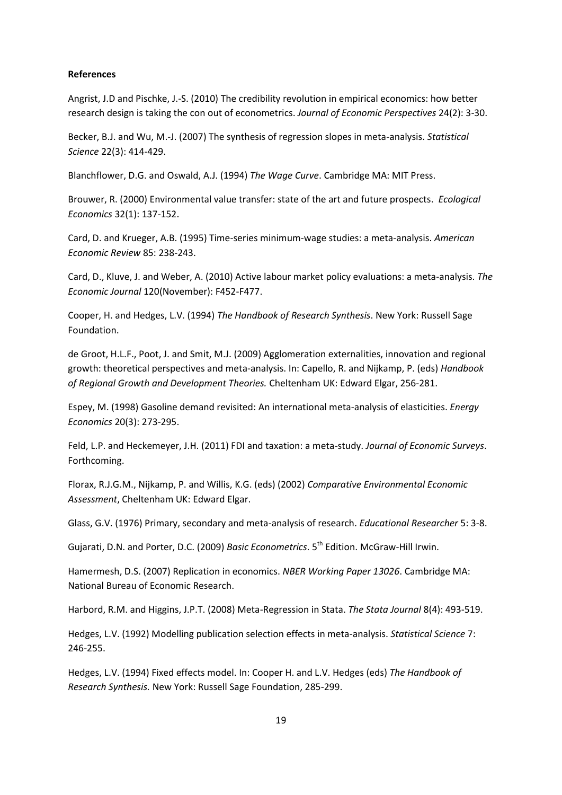### **References**

Angrist, J.D and Pischke, J.-S. (2010) The credibility revolution in empirical economics: how better research design is taking the con out of econometrics. *Journal of Economic Perspectives* 24(2): 3-30.

Becker, B.J. and Wu, M.-J. (2007) The synthesis of regression slopes in meta-analysis. *Statistical Science* 22(3): 414-429.

Blanchflower, D.G. and Oswald, A.J. (1994) *The Wage Curve*. Cambridge MA: MIT Press.

Brouwer, R. (2000) Environmental value transfer: state of the art and future prospects. *Ecological Economics* 32(1): 137-152.

Card, D. and Krueger, A.B. (1995) Time-series minimum-wage studies: a meta-analysis. *American Economic Review* 85: 238-243.

Card, D., Kluve, J. and Weber, A. (2010) Active labour market policy evaluations: a meta-analysis. *The Economic Journal* 120(November): F452-F477.

Cooper, H. and Hedges, L.V. (1994) *The Handbook of Research Synthesis*. New York: Russell Sage Foundation.

de Groot, H.L.F., Poot, J. and Smit, M.J. (2009) Agglomeration externalities, innovation and regional growth: theoretical perspectives and meta-analysis. In: Capello, R. and Nijkamp, P. (eds) *Handbook of Regional Growth and Development Theories.* Cheltenham UK: Edward Elgar, 256-281.

Espey, M. (1998) Gasoline demand revisited: An international meta-analysis of elasticities. *Energy Economics* 20(3): 273-295.

Feld, L.P. and Heckemeyer, J.H. (2011) FDI and taxation: a meta-study. *Journal of Economic Surveys*. Forthcoming.

Florax, R.J.G.M., Nijkamp, P. and Willis, K.G. (eds) (2002) *Comparative Environmental Economic Assessment*, Cheltenham UK: Edward Elgar.

Glass, G.V. (1976) Primary, secondary and meta-analysis of research. *Educational Researcher* 5: 3-8.

Gujarati, D.N. and Porter, D.C. (2009) *Basic Econometrics*. 5<sup>th</sup> Edition. McGraw-Hill Irwin.

Hamermesh, D.S. (2007) Replication in economics. *NBER Working Paper 13026*. Cambridge MA: National Bureau of Economic Research.

Harbord, R.M. and Higgins, J.P.T. (2008) Meta-Regression in Stata. *The Stata Journal* 8(4): 493-519.

Hedges, L.V. (1992) Modelling publication selection effects in meta-analysis. *Statistical Science* 7: 246-255.

Hedges, L.V. (1994) Fixed effects model. In: Cooper H. and L.V. Hedges (eds) *The Handbook of Research Synthesis.* New York: Russell Sage Foundation, 285-299.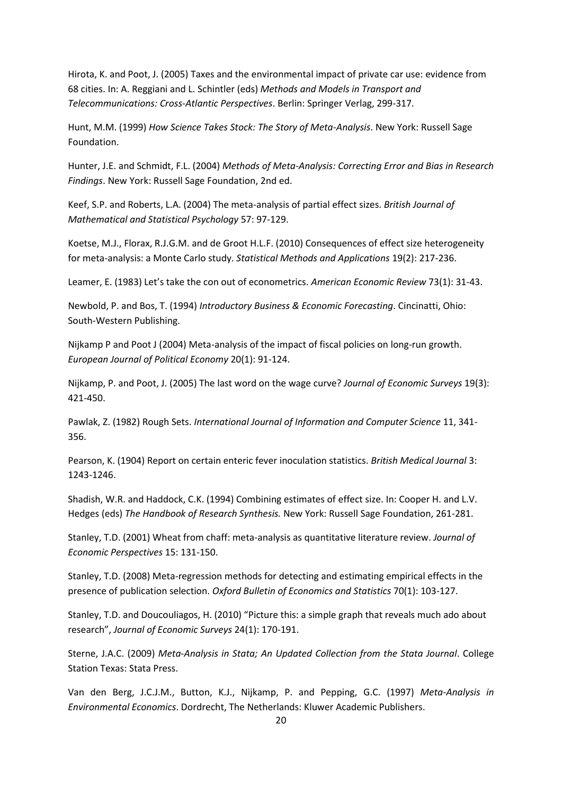Hirota, K. and Poot, J. (2005) Taxes and the environmental impact of private car use: evidence from 68 cities. In: A. Reggiani and L. Schintler (eds) *Methods and Models in Transport and Telecommunications: Cross-Atlantic Perspectives*. Berlin: Springer Verlag, 299-317.

Hunt, M.M. (1999) *How Science Takes Stock: The Story of Meta-Analysis*. New York: Russell Sage Foundation.

Hunter, J.E. and Schmidt, F.L. (2004) *Methods of Meta-Analysis: Correcting Error and Bias in Research Findings*. New York: Russell Sage Foundation, 2nd ed.

Keef, S.P. and Roberts, L.A. (2004) The meta-analysis of partial effect sizes. *British Journal of Mathematical and Statistical Psychology* 57: 97-129.

Koetse, M.J., Florax, R.J.G.M. and de Groot H.L.F. (2010) Consequences of effect size heterogeneity for meta-analysis: a Monte Carlo study. *Statistical Methods and Applications* 19(2): 217-236.

Leamer, E. (1983) Let's take the con out of econometrics. *American Economic Review* 73(1): 31-43.

Newbold, P. and Bos, T. (1994) *Introductory Business & Economic Forecasting*. Cincinatti, Ohio: South-Western Publishing.

Nijkamp P and Poot J (2004) Meta-analysis of the impact of fiscal policies on long-run growth. *European Journal of Political Economy* 20(1): 91-124.

Nijkamp, P. and Poot, J. (2005) The last word on the wage curve? *Journal of Economic Surveys* 19(3): 421-450.

Pawlak, Z. (1982) Rough Sets. *International Journal of Information and Computer Science* 11, 341- 356.

Pearson, K. (1904) Report on certain enteric fever inoculation statistics. *British Medical Journal* 3: 1243-1246.

Shadish, W.R. and Haddock, C.K. (1994) Combining estimates of effect size. In: Cooper H. and L.V. Hedges (eds) *The Handbook of Research Synthesis.* New York: Russell Sage Foundation, 261-281.

Stanley, T.D. (2001) Wheat from chaff: meta-analysis as quantitative literature review. *Journal of Economic Perspectives* 15: 131-150.

Stanley, T.D. (2008) Meta-regression methods for detecting and estimating empirical effects in the presence of publication selection. *Oxford Bulletin of Economics and Statistics* 70(1): 103-127.

Stanley, T.D. and Doucouliagos, H. (2010) "Picture this: a simple graph that reveals much ado about research", *Journal of Economic Surveys* 24(1): 170-191.

Sterne, J.A.C. (2009) *Meta-Analysis in Stata; An Updated Collection from the Stata Journal*. College Station Texas: Stata Press.

Van den Berg, J.C.J.M., Button, K.J., Nijkamp, P. and Pepping, G.C. (1997) *Meta-Analysis in Environmental Economics*. Dordrecht, The Netherlands: Kluwer Academic Publishers.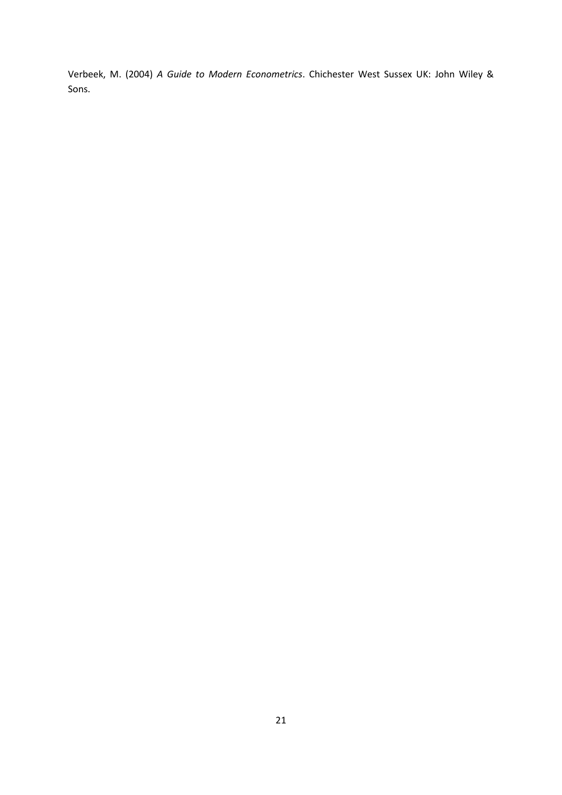Verbeek, M. (2004) *A Guide to Modern Econometrics*. Chichester West Sussex UK: John Wiley & Sons.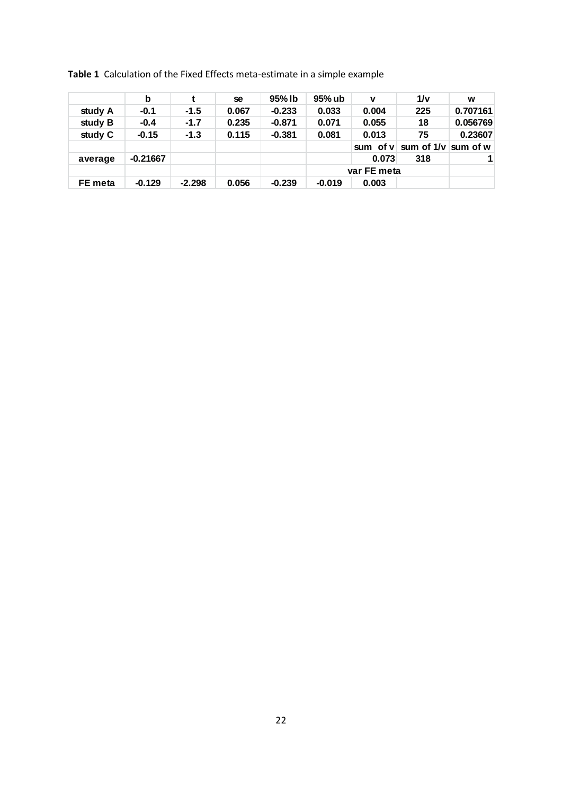|         | b          |          | se    | 95% lb   | 95% ub      | v     | 1/v                              | W        |
|---------|------------|----------|-------|----------|-------------|-------|----------------------------------|----------|
| study A | $-0.1$     | $-1.5$   | 0.067 | $-0.233$ | 0.033       | 0.004 | 225                              | 0.707161 |
| study B | $-0.4$     | $-1.7$   | 0.235 | $-0.871$ | 0.071       | 0.055 | 18                               | 0.056769 |
| study C | $-0.15$    | $-1.3$   | 0.115 | $-0.381$ | 0.081       | 0.013 | 75                               | 0.23607  |
|         |            |          |       |          |             |       | sum of $v$ sum of $1/v$ sum of w |          |
| average | $-0.21667$ |          |       |          |             | 0.073 | 318                              |          |
|         |            |          |       |          | var FE meta |       |                                  |          |
| FE meta | $-0.129$   | $-2.298$ | 0.056 | $-0.239$ | $-0.019$    | 0.003 |                                  |          |

**Table 1** Calculation of the Fixed Effects meta-estimate in a simple example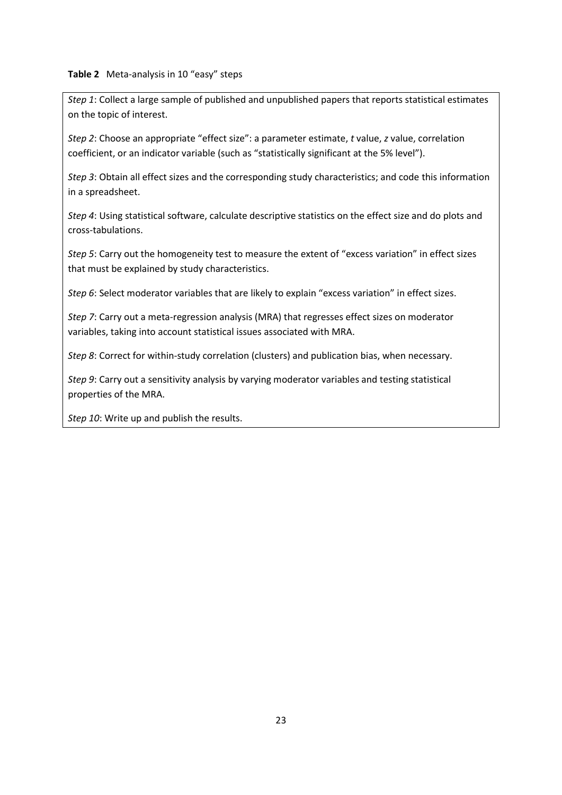# **Table 2** Meta-analysis in 10 "easy" steps

*Step 1*: Collect a large sample of published and unpublished papers that reports statistical estimates on the topic of interest.

*Step 2*: Choose an appropriate "effect size": a parameter estimate, *t* value, *z* value, correlation coefficient, or an indicator variable (such as "statistically significant at the 5% level").

*Step 3*: Obtain all effect sizes and the corresponding study characteristics; and code this information in a spreadsheet.

*Step 4*: Using statistical software, calculate descriptive statistics on the effect size and do plots and cross-tabulations.

*Step 5*: Carry out the homogeneity test to measure the extent of "excess variation" in effect sizes that must be explained by study characteristics.

*Step 6*: Select moderator variables that are likely to explain "excess variation" in effect sizes.

*Step 7*: Carry out a meta-regression analysis (MRA) that regresses effect sizes on moderator variables, taking into account statistical issues associated with MRA.

*Step 8*: Correct for within-study correlation (clusters) and publication bias, when necessary.

*Step 9*: Carry out a sensitivity analysis by varying moderator variables and testing statistical properties of the MRA.

*Step 10*: Write up and publish the results.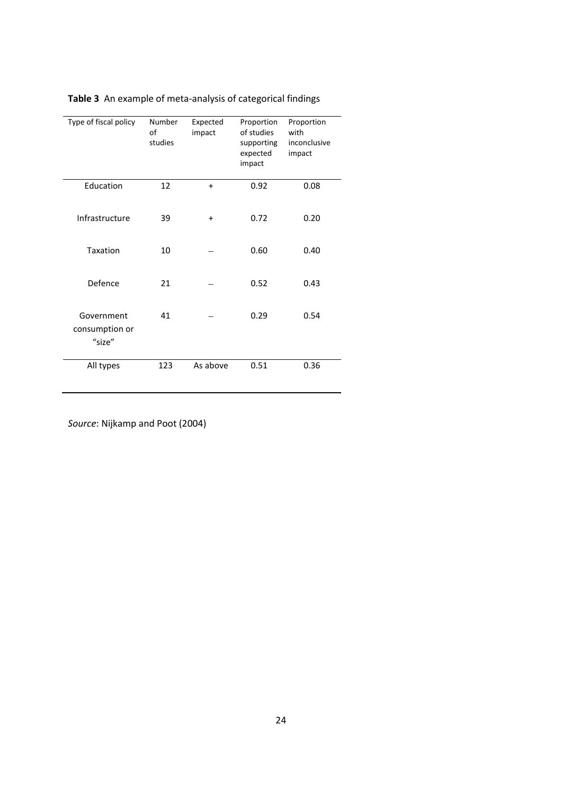| Type of fiscal policy                  | Number<br>of<br>studies | Expected<br>impact | Proportion<br>of studies<br>supporting<br>expected<br>impact | Proportion<br>with<br>inconclusive<br>impact |
|----------------------------------------|-------------------------|--------------------|--------------------------------------------------------------|----------------------------------------------|
| Education                              | 12                      | $\ddot{}$          | 0.92                                                         | 0.08                                         |
| Infrastructure                         | 39                      | $\ddot{}$          | 0.72                                                         | 0.20                                         |
| Taxation                               | 10                      |                    | 0.60                                                         | 0.40                                         |
| Defence                                | 21                      |                    | 0.52                                                         | 0.43                                         |
| Government<br>consumption or<br>"size" | 41                      |                    | 0.29                                                         | 0.54                                         |
| All types                              | 123                     | As above           | 0.51                                                         | 0.36                                         |

**Table 3** An example of meta-analysis of categorical findings

*Source*: Nijkamp and Poot (2004)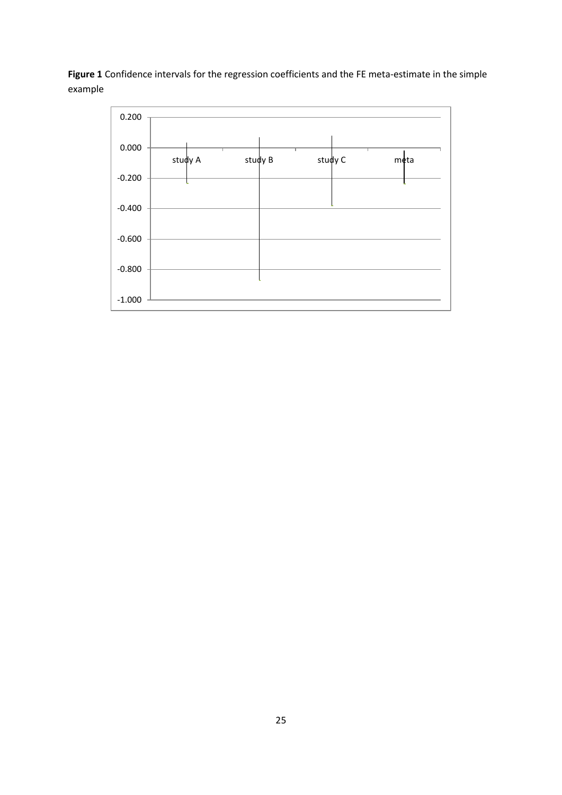**Figure 1** Confidence intervals for the regression coefficients and the FE meta-estimate in the simple example